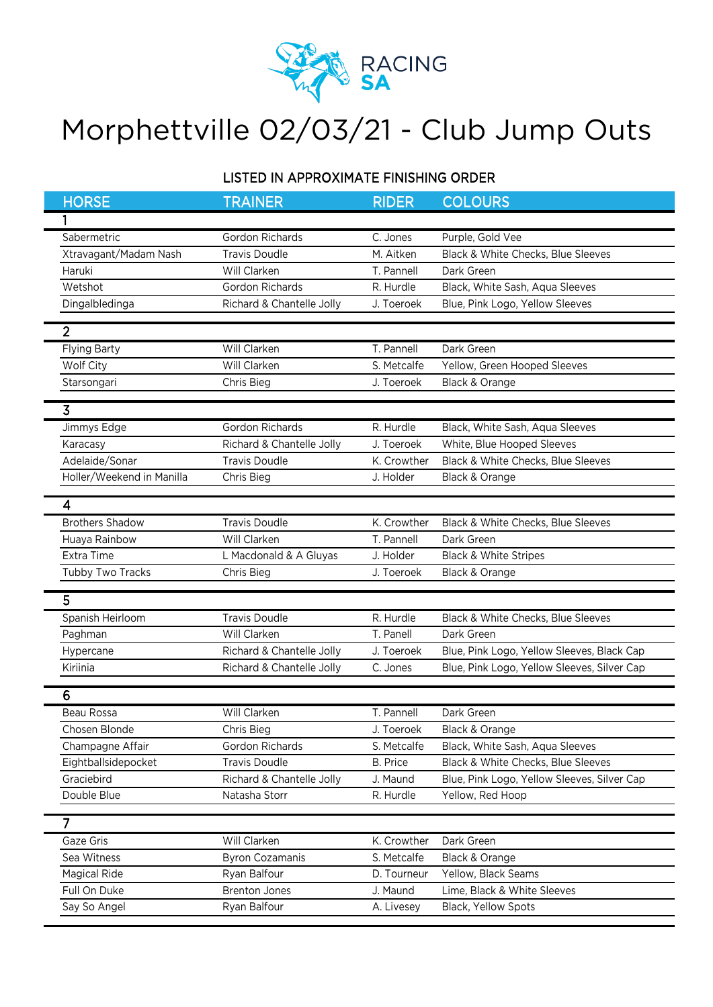

## Morphettville 02/03/21 - Club Jump Outs

## LISTED IN APPROXIMATE FINISHING ORDER

| <b>HORSE</b>              | <b>TRAINER</b>            | <b>RIDER</b>    | <b>COLOURS</b>                              |
|---------------------------|---------------------------|-----------------|---------------------------------------------|
| 1                         |                           |                 |                                             |
| Sabermetric               | Gordon Richards           | C. Jones        | Purple, Gold Vee                            |
| Xtravagant/Madam Nash     | <b>Travis Doudle</b>      | M. Aitken       | Black & White Checks, Blue Sleeves          |
| Haruki                    | Will Clarken              | T. Pannell      | Dark Green                                  |
| Wetshot                   | Gordon Richards           | R. Hurdle       | Black, White Sash, Aqua Sleeves             |
| Dingalbledinga            | Richard & Chantelle Jolly | J. Toeroek      | Blue, Pink Logo, Yellow Sleeves             |
| $\overline{2}$            |                           |                 |                                             |
| <b>Flying Barty</b>       | Will Clarken              | T. Pannell      | Dark Green                                  |
| Wolf City                 | Will Clarken              | S. Metcalfe     | Yellow, Green Hooped Sleeves                |
| Starsongari               | Chris Bieg                | J. Toeroek      | Black & Orange                              |
| $\overline{3}$            |                           |                 |                                             |
| Jimmys Edge               | Gordon Richards           | R. Hurdle       | Black, White Sash, Aqua Sleeves             |
| Karacasy                  | Richard & Chantelle Jolly | J. Toeroek      | White, Blue Hooped Sleeves                  |
| Adelaide/Sonar            | <b>Travis Doudle</b>      | K. Crowther     | Black & White Checks, Blue Sleeves          |
| Holler/Weekend in Manilla | Chris Bieg                | J. Holder       | Black & Orange                              |
|                           |                           |                 |                                             |
| 4                         |                           |                 |                                             |
| <b>Brothers Shadow</b>    | <b>Travis Doudle</b>      | K. Crowther     | Black & White Checks, Blue Sleeves          |
| Huaya Rainbow             | Will Clarken              | T. Pannell      | Dark Green                                  |
| Extra Time                | L Macdonald & A Gluyas    | J. Holder       | <b>Black &amp; White Stripes</b>            |
| Tubby Two Tracks          | Chris Bieg                | J. Toeroek      | Black & Orange                              |
| 5                         |                           |                 |                                             |
| Spanish Heirloom          | <b>Travis Doudle</b>      | R. Hurdle       | Black & White Checks, Blue Sleeves          |
| Paghman                   | Will Clarken              | T. Panell       | Dark Green                                  |
| Hypercane                 | Richard & Chantelle Jolly | J. Toeroek      | Blue, Pink Logo, Yellow Sleeves, Black Cap  |
| Kiriinia                  | Richard & Chantelle Jolly | C. Jones        | Blue, Pink Logo, Yellow Sleeves, Silver Cap |
|                           |                           |                 |                                             |
| 6                         |                           |                 |                                             |
| Beau Rossa                | Will Clarken              | T. Pannell      | Dark Green                                  |
| Chosen Blonde             | Chris Bieg                | J. Toeroek      | Black & Orange                              |
| Champagne Affair          | Gordon Richards           | S. Metcalfe     | Black, White Sash, Aqua Sleeves             |
| Eightballsidepocket       | <b>Travis Doudle</b>      | <b>B.</b> Price | Black & White Checks, Blue Sleeves          |
| Graciebird                | Richard & Chantelle Jolly | J. Maund        | Blue, Pink Logo, Yellow Sleeves, Silver Cap |
| Double Blue               | Natasha Storr             | R. Hurdle       | Yellow, Red Hoop                            |
| $\overline{7}$            |                           |                 |                                             |
| Gaze Gris                 | Will Clarken              | K. Crowther     | Dark Green                                  |
| Sea Witness               | <b>Byron Cozamanis</b>    | S. Metcalfe     | Black & Orange                              |
| <b>Magical Ride</b>       | Ryan Balfour              | D. Tourneur     | Yellow, Black Seams                         |
| Full On Duke              | <b>Brenton Jones</b>      | J. Maund        | Lime, Black & White Sleeves                 |
| Say So Angel              | Ryan Balfour              | A. Livesey      | Black, Yellow Spots                         |
|                           |                           |                 |                                             |